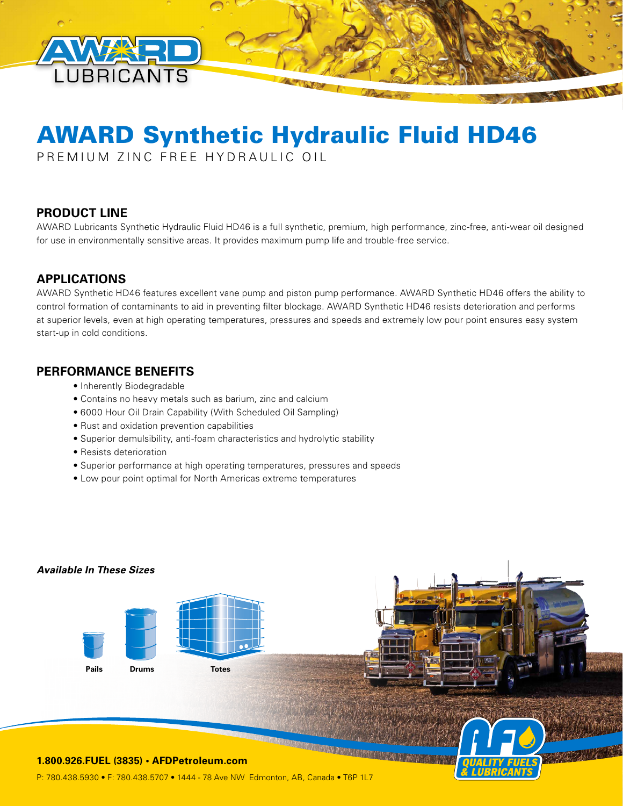

# AWARD Synthetic Hydraulic Fluid HD46

PREMIUM ZINC FREE HYDRAULIC OIL

## **PRODUCT LINE**

AWARD Lubricants Synthetic Hydraulic Fluid HD46 is a full synthetic, premium, high performance, zinc-free, anti-wear oil designed for use in environmentally sensitive areas. It provides maximum pump life and trouble-free service.

## **APPLICATIONS**

AWARD Synthetic HD46 features excellent vane pump and piston pump performance. AWARD Synthetic HD46 offers the ability to control formation of contaminants to aid in preventing filter blockage. AWARD Synthetic HD46 resists deterioration and performs at superior levels, even at high operating temperatures, pressures and speeds and extremely low pour point ensures easy system start-up in cold conditions.

#### **PERFORMANCE BENEFITS**

- Inherently Biodegradable
- Contains no heavy metals such as barium, zinc and calcium
- 6000 Hour Oil Drain Capability (With Scheduled Oil Sampling)
- Rust and oxidation prevention capabilities
- Superior demulsibility, anti-foam characteristics and hydrolytic stability
- Resists deterioration
- Superior performance at high operating temperatures, pressures and speeds
- Low pour point optimal for North Americas extreme temperatures